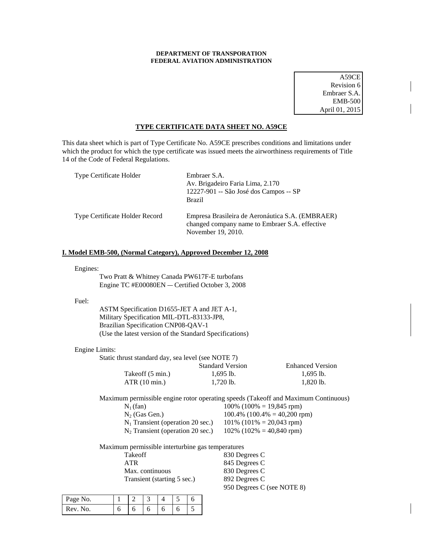# **DEPARTMENT OF TRANSPORATION FEDERAL AVIATION ADMINISTRATION**

A59CE Revision 6 Embraer S.A. EMB-500 April 01, 2015

# **TYPE CERTIFICATE DATA SHEET NO. A59CE**

This data sheet which is part of Type Certificate No. A59CE prescribes conditions and limitations under which the product for which the type certificate was issued meets the airworthiness requirements of Title 14 of the Code of Federal Regulations.

| Type Certificate Holder        | Embraer S.A.<br>Av. Brigadeiro Faria Lima, 2.170<br>12227-901 -- São José dos Campos -- SP<br><b>Brazil</b>              |
|--------------------------------|--------------------------------------------------------------------------------------------------------------------------|
| Type Certificate Holder Record | Empresa Brasileira de Aeronáutica S.A. (EMBRAER)<br>changed company name to Embraer S.A. effective<br>November 19, 2010. |

# **I. Model EMB-500, (Normal Category), Approved December 12, 2008**

Engines:

Two Pratt & Whitney Canada PW617F-E turbofans Engine TC #E00080EN - Certified October 3, 2008

### Fuel:

ASTM Specification D1655-JET A and JET A-1, Military Specification MIL-DTL-83133-JP8, Brazilian Specification CNP08-QAV-1 (Use the latest version of the Standard Specifications)

# Engine Limits:

| Static thrust standard day, sea level (see NOTE 7) |                         |                         |
|----------------------------------------------------|-------------------------|-------------------------|
|                                                    | <b>Standard Version</b> | <b>Enhanced Version</b> |
| Takeoff (5 min.)                                   | $1.695$ lb.             | $1.695$ lb.             |
| ATR(10 min.)                                       | $1.720$ lb.             | $1.820$ lb.             |

Maximum permissible engine rotor operating speeds (Takeoff and Maximum Continuous)

| $N_1$ (fan)                         | $100\%$ (100\% = 19,845 rpm)     |
|-------------------------------------|----------------------------------|
| $N_2$ (Gas Gen.)                    | $100.4\%$ (100.4\% = 40,200 rpm) |
| $N_1$ Transient (operation 20 sec.) | $101\%$ (101\% = 20,043 rpm)     |
| $N_2$ Transient (operation 20 sec.) | $102\%$ (102\% = 40,840 rpm)     |
|                                     |                                  |

Maximum permissible interturbine gas temperatures

| Takeoff                     | 830 Degrees C              |
|-----------------------------|----------------------------|
| <b>ATR</b>                  | 845 Degrees C              |
| Max. continuous             | 830 Degrees C              |
| Transient (starting 5 sec.) | 892 Degrees C              |
|                             | 950 Degrees C (see NOTE 8) |

| Page No. |   |   | ب |   |   |  |
|----------|---|---|---|---|---|--|
| Rev      | U | U | U | U | ັ |  |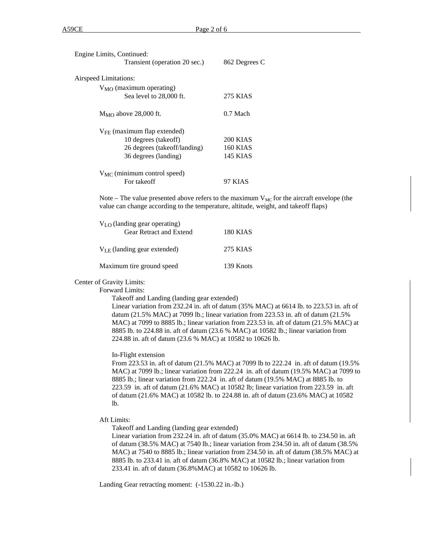| Engine Limits, Continued:               |                 |
|-----------------------------------------|-----------------|
| Transient (operation 20 sec.)           | 862 Degrees C   |
| Airspeed Limitations:                   |                 |
| $V_{MO}$ (maximum operating)            |                 |
| Sea level to 28,000 ft.                 | 275 KIAS        |
| $M_{\rm MO}$ above 28,000 ft.           | $0.7$ Mach      |
| $V_{\text{FE}}$ (maximum flap extended) |                 |
| 10 degrees (takeoff)                    | <b>200 KIAS</b> |
| 26 degrees (takeoff/landing)            | <b>160 KIAS</b> |
| 36 degrees (landing)                    | 145 KIAS        |
| $V_{MC}$ (minimum control speed)        |                 |
| For takeoff                             | 97 KIAS         |
|                                         |                 |

Note – The value presented above refers to the maximum  $V_{MC}$  for the aircraft envelope (the value can change according to the temperature, altitude, weight, and takeoff flaps)

| $V_{LO}$ (landing gear operating)<br>Gear Retract and Extend | 180 KIAS  |  |
|--------------------------------------------------------------|-----------|--|
| $V_{LE}$ (landing gear extended)                             | 275 KIAS  |  |
| Maximum tire ground speed                                    | 139 Knots |  |

### Center of Gravity Limits:

Forward Limits:

Takeoff and Landing (landing gear extended)

Linear variation from 232.24 in. aft of datum (35% MAC) at 6614 lb. to 223.53 in. aft of datum (21.5% MAC) at 7099 lb.; linear variation from 223.53 in. aft of datum (21.5% MAC) at 7099 to 8885 lb.; linear variation from 223.53 in. aft of datum (21.5% MAC) at 8885 lb. to 224.88 in. aft of datum (23.6 % MAC) at 10582 lb.; linear variation from 224.88 in. aft of datum (23.6 % MAC) at 10582 to 10626 lb.

## In-Flight extension

From 223.53 in. aft of datum (21.5% MAC) at 7099 lb to 222.24 in. aft of datum (19.5% MAC) at 7099 lb.; linear variation from 222.24 in. aft of datum (19.5% MAC) at 7099 to 8885 lb.; linear variation from 222.24 in. aft of datum (19.5% MAC) at 8885 lb. to 223.59 in. aft of datum (21.6% MAC) at 10582 lb; linear variation from 223.59 in. aft of datum (21.6% MAC) at 10582 lb. to 224.88 in. aft of datum (23.6% MAC) at 10582 lb.

Aft Limits:

Takeoff and Landing (landing gear extended)

Linear variation from 232.24 in. aft of datum (35.0% MAC) at 6614 lb. to 234.50 in. aft of datum (38.5% MAC) at 7540 lb.; linear variation from 234.50 in. aft of datum (38.5% MAC) at 7540 to 8885 lb.; linear variation from 234.50 in. aft of datum (38.5% MAC) at 8885 lb. to 233.41 in. aft of datum (36.8% MAC) at 10582 lb.; linear variation from 233.41 in. aft of datum (36.8%MAC) at 10582 to 10626 lb.

Landing Gear retracting moment: (-1530.22 in.-lb.)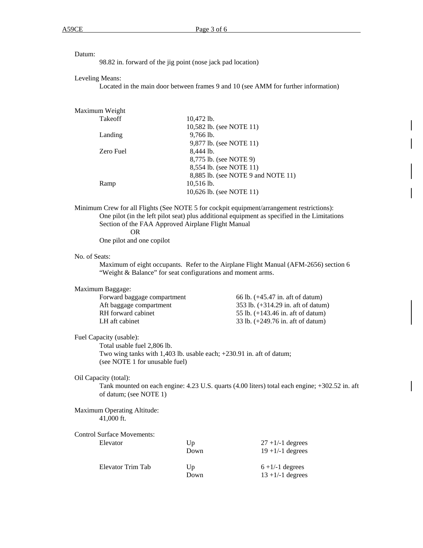| atum |
|------|
|------|

98.82 in. forward of the jig point (nose jack pad location)

#### Leveling Means:

Located in the main door between frames 9 and 10 (see AMM for further information)

## Maximum Weight

| Takeoff   | $10,472$ lb.                       |
|-----------|------------------------------------|
|           | 10,582 lb. (see NOTE 11)           |
| Landing   | 9,766 lb.                          |
|           | 9,877 lb. (see NOTE 11)            |
| Zero Fuel | 8.444 lb.                          |
|           | 8,775 lb. (see NOTE 9)             |
|           | 8,554 lb. (see NOTE 11)            |
|           | 8,885 lb. (see NOTE 9 and NOTE 11) |
| Ramp      | $10,516$ lb.                       |
|           | 10,626 lb. (see NOTE 11)           |
|           |                                    |

Minimum Crew for all Flights (See NOTE 5 for cockpit equipment/arrangement restrictions): One pilot (in the left pilot seat) plus additional equipment as specified in the Limitations Section of the FAA Approved Airplane Flight Manual OR

One pilot and one copilot

#### No. of Seats:

Maximum of eight occupants. Refer to the Airplane Flight Manual (AFM-2656) section 6 "Weight & Balance" for seat configurations and moment arms.

# Maximum Baggage:

| Forward baggage compartment | 66 lb. $(+45.47 \text{ in.} \text{ aft of datum})$  |
|-----------------------------|-----------------------------------------------------|
| Aft baggage compartment     | 353 lb. (+314.29 in. aft of datum)                  |
| RH forward cabinet          | 55 lb. $(+143.46 \text{ in.} \text{ aft of datum})$ |
| LH aft cabinet              | 33 lb. $(+249.76 \text{ in.} \text{ aft of datum})$ |

#### Fuel Capacity (usable):

Total usable fuel 2,806 lb. Two wing tanks with 1,403 lb. usable each; +230.91 in. aft of datum; (see NOTE 1 for unusable fuel)

## Oil Capacity (total):

Tank mounted on each engine: 4.23 U.S. quarts (4.00 liters) total each engine; +302.52 in. aft of datum; (see NOTE 1)

# Maximum Operating Altitude: 41,000 ft.

| <b>Control Surface Movements:</b> |            |                                           |
|-----------------------------------|------------|-------------------------------------------|
| Elevator                          | Up         | $27 + 1/-1$ degrees                       |
|                                   | Down       | $19 + 1/-1$ degrees                       |
| Elevator Trim Tab                 | Up<br>Down | $6 + 1/-1$ degrees<br>$13 + 1/-1$ degrees |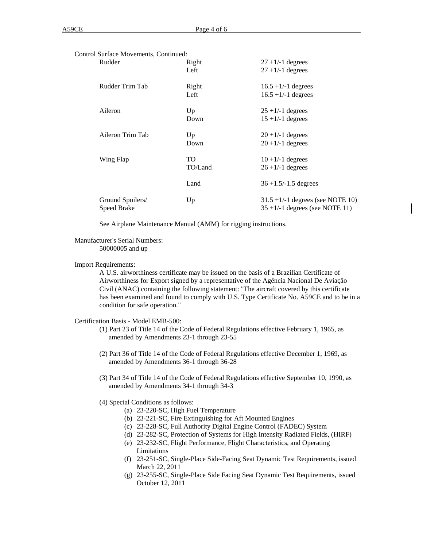| Control Surface Movements, Continued: |         |                                                                            |
|---------------------------------------|---------|----------------------------------------------------------------------------|
| Rudder                                | Right   | $27 + 1/-1$ degrees                                                        |
|                                       | Left    | $27 + 1/-1$ degrees                                                        |
| Rudder Trim Tab                       | Right   | $16.5 + 1/-1$ degrees                                                      |
|                                       | Left    | $16.5 + 1/-1$ degrees                                                      |
| Aileron                               | Up      | $25 + 1/1$ degrees                                                         |
|                                       | Down    | $15 + 1/-1$ degrees                                                        |
| Aileron Trim Tab                      | Up      | $20 + 1/-1$ degrees                                                        |
|                                       | Down    | $20 + 1/-1$ degrees                                                        |
| Wing Flap                             | TO.     | $10 + 1/-1$ degrees                                                        |
|                                       | TO/Land | $26 + 1/1$ degrees                                                         |
|                                       | Land    | $36 + 1.5/ - 1.5$ degrees                                                  |
| Ground Spoilers/<br>Speed Brake       | Up      | $31.5 + 1/ - 1$ degrees (see NOTE 10)<br>$35 + 1/-1$ degrees (see NOTE 11) |

See Airplane Maintenance Manual (AMM) for rigging instructions.

# Manufacturer's Serial Numbers:

50000005 and up

#### Import Requirements:

A U.S. airworthiness certificate may be issued on the basis of a Brazilian Certificate of Airworthiness for Export signed by a representative of the Agência Nacional De Aviação Civil (ANAC) containing the following statement: "The aircraft covered by this certificate has been examined and found to comply with U.S. Type Certificate No. A59CE and to be in a condition for safe operation."

## Certification Basis - Model EMB-500:

- (1) Part 23 of Title 14 of the Code of Federal Regulations effective February 1, 1965, as amended by Amendments 23-1 through 23-55
- (2) Part 36 of Title 14 of the Code of Federal Regulations effective December 1, 1969, as amended by Amendments 36-1 through 36-28
- (3) Part 34 of Title 14 of the Code of Federal Regulations effective September 10, 1990, as amended by Amendments 34-1 through 34-3

## (4) Special Conditions as follows:

- (a) 23-220-SC, High Fuel Temperature
- (b) 23-221-SC, Fire Extinguishing for Aft Mounted Engines
- (c) 23-228-SC, Full Authority Digital Engine Control (FADEC) System
- (d) 23-282-SC, Protection of Systems for High Intensity Radiated Fields, (HIRF)
- (e) 23-232-SC, Flight Performance, Flight Characteristics, and Operating Limitations
- (f) 23-251-SC, Single-Place Side-Facing Seat Dynamic Test Requirements, issued March 22, 2011
- (g) 23-255-SC, Single-Place Side Facing Seat Dynamic Test Requirements, issued October 12, 2011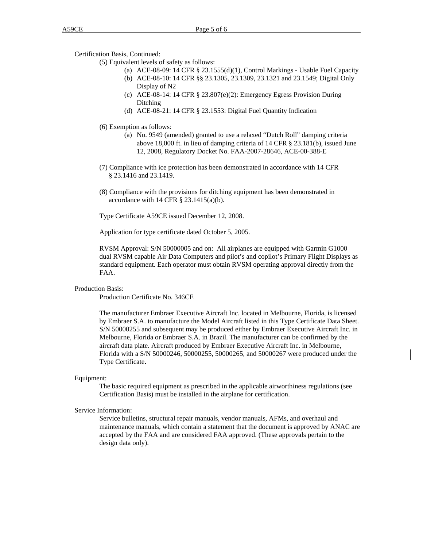Certification Basis, Continued:

(5) Equivalent levels of safety as follows:

- (a) ACE-08-09: 14 CFR § 23.1555(d)(1), Control Markings Usable Fuel Capacity (b) ACE-08-10: 14 CFR §§ 23.1305, 23.1309, 23.1321 and 23.1549; Digital Only
- Display of N2
- (c) ACE-08-14: 14 CFR § 23.807(e)(2): Emergency Egress Provision During Ditching
- (d) ACE-08-21: 14 CFR § 23.1553: Digital Fuel Quantity Indication
- (6) Exemption as follows:
	- (a) No. 9549 (amended) granted to use a relaxed "Dutch Roll" damping criteria above 18,000 ft. in lieu of damping criteria of 14 CFR § 23.181(b), issued June 12, 2008, Regulatory Docket No. FAA-2007-28646, ACE-00-388-E
- (7) Compliance with ice protection has been demonstrated in accordance with 14 CFR § 23.1416 and 23.1419.
- (8) Compliance with the provisions for ditching equipment has been demonstrated in accordance with  $14$  CFR  $\S$  23.1415(a)(b).

Type Certificate A59CE issued December 12, 2008.

Application for type certificate dated October 5, 2005.

RVSM Approval: S/N 50000005 and on: All airplanes are equipped with Garmin G1000 dual RVSM capable Air Data Computers and pilot's and copilot's Primary Flight Displays as standard equipment. Each operator must obtain RVSM operating approval directly from the FAA.

# Production Basis:

Production Certificate No. 346CE

The manufacturer Embraer Executive Aircraft Inc. located in Melbourne, Florida, is licensed by Embraer S.A. to manufacture the Model Aircraft listed in this Type Certificate Data Sheet. S/N 50000255 and subsequent may be produced either by Embraer Executive Aircraft Inc. in Melbourne, Florida or Embraer S.A. in Brazil. The manufacturer can be confirmed by the aircraft data plate. Aircraft produced by Embraer Executive Aircraft Inc. in Melbourne, Florida with a S/N 50000246, 50000255, 50000265, and 50000267 were produced under the Type Certificate**.**

#### Equipment:

The basic required equipment as prescribed in the applicable airworthiness regulations (see Certification Basis) must be installed in the airplane for certification.

## Service Information:

Service bulletins, structural repair manuals, vendor manuals, AFMs, and overhaul and maintenance manuals, which contain a statement that the document is approved by ANAC are accepted by the FAA and are considered FAA approved. (These approvals pertain to the design data only).